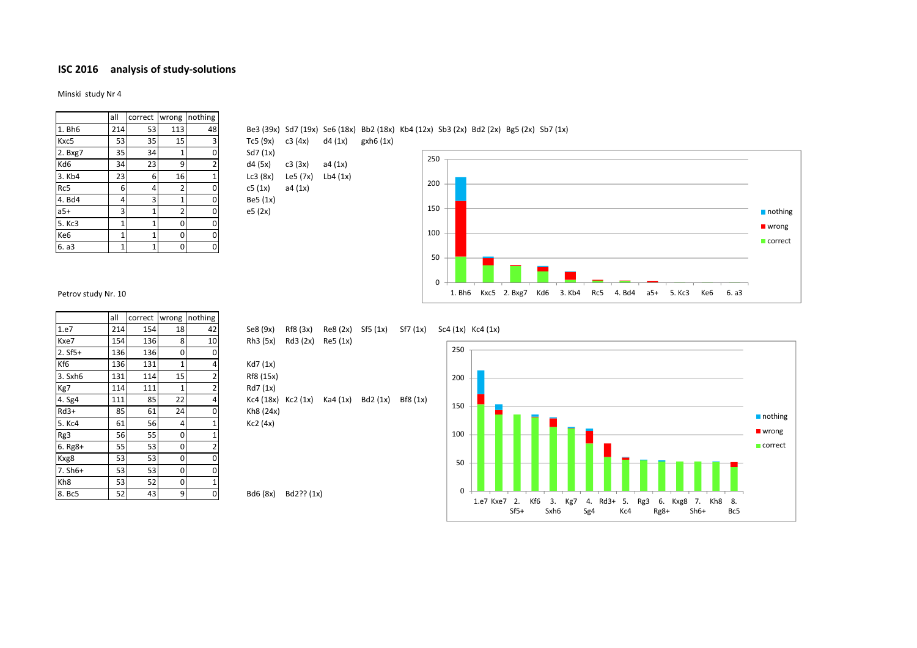## **ISC 2016 analysis of study-solutions**

Minski study Nr 4

|                 | all | correct | wrong          | nothing        |  |
|-----------------|-----|---------|----------------|----------------|--|
| 1. Bh6          | 214 | 53      | 113            | 48             |  |
| Kxc5            | 53  | 35      | 15             | 3              |  |
| 2. Bxg7         | 35  | 34      | 1              | 0              |  |
| Kd6             | 34  | 23      | 9              | $\overline{2}$ |  |
| 3. Kb4          | 23  | 6       | 16             | $\overline{1}$ |  |
| Rc5             | 6   | 4       | $\overline{2}$ | 0              |  |
| 4. Bd4          | 4   | 3       | 1              | 0              |  |
| $a5+$           | 3   | 1       | $\overline{2}$ | 0              |  |
| 5. Kc3          | 1   | 1       | 0              | 0              |  |
| Ke <sub>6</sub> | 1   | 1       | 0              | 0              |  |
| 6. a3           | 1   | 1       | 0              | 0              |  |

1. Bh6 214 53 113 48 Be3 (39x) Sd7 (19x) Se6 (18x) Bb2 (18x) Kb4 (12x) Sb3 (2x) Bd2 (2x) Bg5 (2x) Sb7 (1x)

Tc5 (9x) c3 (4x) d4 (1x) gxh6 (1x) Sd7 (1x)

## $d4 (5x)$   $c3 (3x)$  a4 (1x)  $Lc3 (8x)$   $Le5 (7x)$   $Lb4 (1x)$  $c5 (1x)$  a4  $(1x)$ Be5 (1x)

e5 (2x)

Kh8 (24x)  $Kc2$  (4x)



Petrov study Nr. 10

|                 | all | correct | wrong | nothing        |
|-----------------|-----|---------|-------|----------------|
| 1.e7            | 214 | 154     | 18    | 42             |
| Kxe7            | 154 | 136     | 8     | 10             |
| $2. Sf5+$       | 136 | 136     | 0     | 0              |
| Kf6             | 136 | 131     | 1     | 4              |
| 3. Sxh6         | 131 | 114     | 15    | $\overline{2}$ |
| Kg7             | 114 | 111     | 1     | 2              |
| 4. Sg4          | 111 | 85      | 22    | 4              |
| $Rd3+$          | 85  | 61      | 24    | 0              |
| 5. Kc4          | 61  | 56      | 4     | 1              |
| Rg3             | 56  | 55      | 0     | 1              |
| $6. Rg8+$       | 55  | 53      | 0     | 2              |
| Kxg8            | 53  | 53      | 0     | 0              |
| 7. Sh6+         | 53  | 53      | 0     | 0              |
| Kh <sub>8</sub> | 53  | 52      | 0     | 1              |
| 8. Bc5          | 52  | 43      | 9     | 0              |

1.e7 214 154 18 42 Se8 (9x) Rf8 (3x) Re8 (2x) Sf5 (1x) Sf7 (1x) Sc4 (1x) Kc4 (1x)  $Rh3 (5x)$   $Rd3 (2x)$   $Re5 (1x)$ 250

Kd7 (1x) Rf8 (15x) Rd7 (1x)  $Kc4 (18x) Kc2 (1x) Ka4 (1x) Bd2 (1x) Bf8 (1x)$ 

 $Bd6 (8x) Bd2?$ ?  $(1x)$  0 50 100 150 200 1.e7 Kxe7 2. Kf6 3. Kg7 4. Rd3+ 5. Rg3 6. Kxg8 7. Kh8 8.  $Sf5+$ Sxh6 Sg4 Kc4 Rg8+ Sh6+ Bc5 nothing **wrong correct**